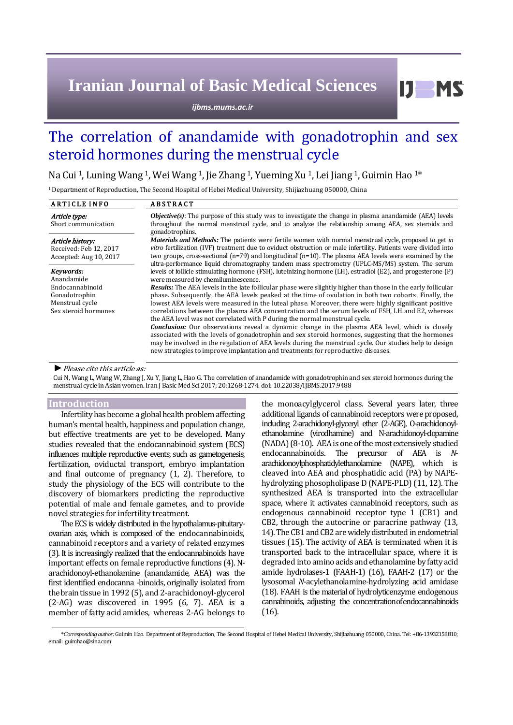# **Iranian Journal of Basic Medical Sciences**

*ijbms.mums.ac.ir*

# The correlation of anandamide with gonadotrophin and sex steroid hormones during the menstrual cycle

Na Cui <sup>1</sup>, Luning Wang <sup>1</sup>, Wei Wang <sup>1</sup>, Jie Zhang <sup>1</sup>, Yueming Xu <sup>1</sup>, Lei Jiang <sup>1</sup>, Guimin Hao <sup>1\*</sup>

<sup>1</sup>Department of Reproduction, The Second Hospital of Hebei Medical University, Shijiazhuang 050000, China

| <b>ARTICLE INFO</b>                                                                                    | <b>ABSTRACT</b>                                                                                                                                                                                                                                                                                                                                                                                                                                                                                                                                                                                                                                                                                                                                                                                                                                                                                                                                                                                                                                                                |
|--------------------------------------------------------------------------------------------------------|--------------------------------------------------------------------------------------------------------------------------------------------------------------------------------------------------------------------------------------------------------------------------------------------------------------------------------------------------------------------------------------------------------------------------------------------------------------------------------------------------------------------------------------------------------------------------------------------------------------------------------------------------------------------------------------------------------------------------------------------------------------------------------------------------------------------------------------------------------------------------------------------------------------------------------------------------------------------------------------------------------------------------------------------------------------------------------|
| Article type:<br>Short communication                                                                   | <b><i>Objective(s)</i></b> : The purpose of this study was to investigate the change in plasma anandamide (AEA) levels<br>throughout the normal menstrual cycle, and to analyze the relationship among AEA, sex steroids and<br>gonadotrophins.                                                                                                                                                                                                                                                                                                                                                                                                                                                                                                                                                                                                                                                                                                                                                                                                                                |
| Article history:<br>Received: Feb 12, 2017<br>Accepted: Aug 10, 2017                                   | <b>Materials and Methods:</b> The patients were fertile women with normal menstrual cycle, proposed to get in<br>vitro fertilization (IVF) treatment due to oviduct obstruction or male infertility. Patients were divided into<br>two groups, cross-sectional ( $n=79$ ) and longitudinal ( $n=10$ ). The plasma AEA levels were examined by the<br>ultra-performance liquid chromatography tandem mass spectrometry (UPLC-MS/MS) system. The serum                                                                                                                                                                                                                                                                                                                                                                                                                                                                                                                                                                                                                           |
| Kevwords:<br>Anandamide<br>Endocannabinoid<br>Gonadotrophin<br>Menstrual cycle<br>Sex steroid hormones | levels of follicle stimulating hormone (FSH), luteinizing hormone (LH), estradiol (E2), and progesterone (P)<br>were measured by chemiluminescence.<br>Results: The AEA levels in the late follicular phase were slightly higher than those in the early follicular<br>phase. Subsequently, the AEA levels peaked at the time of ovulation in both two cohorts. Finally, the<br>lowest AEA levels were measured in the luteal phase. Moreover, there were highly significant positive<br>correlations between the plasma AEA concentration and the serum levels of FSH, LH and E2, whereas<br>the AEA level was not correlated with P during the normal menstrual cycle.<br>Conclusion: Our observations reveal a dynamic change in the plasma AEA level, which is closely<br>associated with the levels of gonadotrophin and sex steroid hormones, suggesting that the hormones<br>may be involved in the regulation of AEA levels during the menstrual cycle. Our studies help to design<br>new strategies to improve implantation and treatments for reproductive diseases. |

#### *►*Please cite this article as:

Cui N, Wang L, Wang W, Zhang J, Xu Y, Jiang L, Hao G. The correlation of anandamide with gonadotrophin and sex steroid hormones during the menstrual cycle in Asian women. Iran J Basic Med Sci 2017; 20:1268-1274. doi[: 10.22038/IJBMS.2017.9488](http://dx.doi.org/10.22038/ijbms.2017.9488)

#### **Introduction**

Infertility has become a global health problem affecting human's mental health, happiness and population change, but effective treatments are yet to be developed. Many studies revealed that the endocannabinoid system (ECS) influences multiple reproductive events, such as gametogenesis, fertilization, oviductal transport, embryo implantation and final outcome of pregnancy (1, 2). Therefore, to study the physiology of the ECS will contribute to the discovery of biomarkers predicting the reproductive potential of male and female gametes, and to provide novel strategies for infertility treatment.

The ECS is widely distributed in the hypothalamus-pituitaryovarian axis, which is composed of the endocannabinoids, cannabinoid receptors and a variety of related enzymes (3). It is increasingly realized that the endocannabinoids have important effects on female reproductive functions (4). Narachidonoyl-ethanolamine (anandamide, AEA) was the first identified endocanna -binoids, originally isolated from the brain tissue in 1992 (5), and 2-arachidonoyl-glycerol  $(2-AG)$  was discovered in 1995  $(6, 7)$ . AEA is a member of fatty acid amides, whereas 2-AG belongs to the monoacylglycerol class. Several years later, three additional ligands of cannabinoid receptors were proposed, including 2-arachidonyl-glyceryl ether (2-AGE), O-arachidonoylethanolamine (virodhamine) and N-arachidonoyl-dopamine (NADA) (8-10). AEA is one of the most extensively studied endocannabinoids. The precursor of AEA is *N*arachidonoylphosphatidylethanolamine (NAPE), which is cleaved into AEA and phosphatidic acid (PA) by NAPEhydrolyzing phosopholipase D (NAPE-PLD) (11, 12). The synthesized AEA is transported into the extracellular space, where it activates cannabinoid receptors, such as endogenous cannabinoid receptor type 1 (CB1) and CB2, through the autocrine or paracrine pathway (13, 14). The CB1 and CB2 are widely distributed in endometrial tissues (15). The activity of AEA is terminated when it is transported back to the intracellular space, where it is degraded into amino acids and ethanolamine by fatty acid amide hydrolases-1 (FAAH-1) (16), FAAH-2 (17) or the lysosomal *N*-acylethanolamine-hydrolyzing acid amidase (18). FAAH is the material of hydrolyticenzyme endogenous cannabinoids, adjusting the concentrationof endocannabinoids (16).

<sup>\*</sup>*Corresponding author:*Guimin Hao. Department of Reproduction, The Second Hospital of Hebei Medical University, Shijiazhuang 050000, China. Tel: +86-13932158810; email: guimhao@sina.com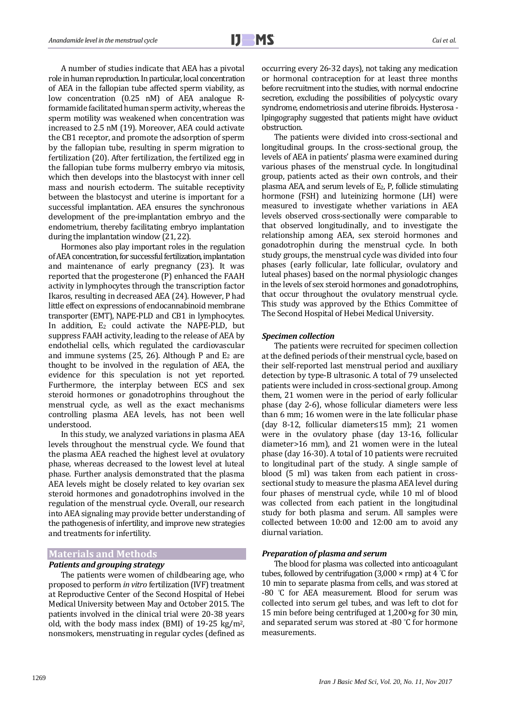A number of studies indicate that AEA has a pivotal role in human reproduction. In particular, local concentration of AEA in the fallopian tube affected sperm viability, as low concentration (0.25 nM) of AEA analogue Rformamide facilitated human sperm activity, whereas the sperm motility was weakened when concentration was increased to 2.5 nM (19). Moreover, AEA could activate the CB1 receptor, and promote the adsorption of sperm by the fallopian tube, resulting in sperm migration to fertilization (20). After fertilization, the fertilized egg in the fallopian tube forms mulberry embryo via mitosis, which then develops into the blastocyst with inner cell mass and nourish ectoderm. The suitable receptivity between the blastocyst and uterine is important for a successful implantation. AEA ensures the synchronous development of the pre-implantation embryo and the endometrium, thereby facilitating embryo implantation during the implantation window (21, 22).

Hormones also play important roles in the regulation of AEA concentration, for successful fertilization, implantation and maintenance of early pregnancy (23). It was reported that the progesterone (P) enhanced the FAAH activity in lymphocytes through the transcription factor Ikaros, resulting in decreased AEA (24). However, P had little effect on expressions of endocannabinoid membrane transporter (EMT), NAPE-PLD and CB1 in lymphocytes. In addition, E<sub>2</sub> could activate the NAPE-PLD, but suppress FAAH activity, leading to the release of AEA by endothelial cells, which regulated the cardiovascular and immune systems (25, 26). Although P and  $E_2$  are thought to be involved in the regulation of AEA, the evidence for this speculation is not yet reported. Furthermore, the interplay between ECS and sex steroid hormones or gonadotrophins throughout the menstrual cycle, as well as the exact mechanisms controlling plasma AEA levels, has not been well understood.

In this study, we analyzed variations in plasma AEA levels throughout the menstrual cycle. We found that the plasma AEA reached the highest level at ovulatory phase, whereas decreased to the lowest level at luteal phase. Further analysis demonstrated that the plasma AEA levels might be closely related to key ovarian sex steroid hormones and gonadotrophins involved in the regulation of the menstrual cycle. Overall, our research into AEA signaling may provide better understanding of the pathogenesis of infertility, and improve new strategies and treatments for infertility.

#### **Materials and Methods**

#### *Patients and grouping strategy*

The patients were women of childbearing age, who proposed to perform *in vitro* fertilization (IVF) treatment at Reproductive Center of the Second Hospital of Hebei Medical University between May and October 2015. The patients involved in the clinical trial were 20-38 years old, with the body mass index (BMI) of 19-25 kg/m2, nonsmokers, menstruating in regular cycles (defined as occurring every 26-32 days), not taking any medication or hormonal contraception for at least three months before recruitment into the studies, with normal endocrine secretion, excluding the possibilities of polycystic ovary syndrome, endometriosis and uterine fibroids. Hysterosa lpingography suggested that patients might have oviduct obstruction.

The patients were divided into cross-sectional and longitudinal groups. In the cross-sectional group, the levels of AEA in patients' plasma were examined during various phases of the menstrual cycle. In longitudinal group, patients acted as their own controls, and their plasma AEA, and serum levels of E2, P, follicle stimulating hormone (FSH) and luteinizing hormone (LH) were measured to investigate whether variations in AEA levels observed cross-sectionally were comparable to that observed longitudinally, and to investigate the relationship among AEA, sex steroid hormones and gonadotrophin during the menstrual cycle. In both study groups, the menstrual cycle was divided into four phases (early follicular, late follicular, ovulatory and luteal phases) based on the normal physiologic changes in the levels of sex steroid hormones and gonadotrophins, that occur throughout the ovulatory menstrual cycle. This study was approved by the Ethics Committee of The Second Hospital of Hebei Medical University.

#### *Specimen collection*

The patients were recruited for specimen collection at the defined periods of their menstrual cycle, based on their self-reported last menstrual period and auxiliary detection by type-B ultrasonic. A total of 79 unselected patients were included in cross-sectional group. Among them, 21 women were in the period of early follicular phase (day 2-6), whose follicular diameters were less than 6 mm; 16 women were in the late follicular phase (day 8-12, follicular diameter≤15 mm); 21 women were in the ovulatory phase (day 13-16, follicular diameter>16 mm), and 21 women were in the luteal phase (day 16-30). A total of 10 patients were recruited to longitudinal part of the study. A single sample of blood (5 ml) was taken from each patient in crosssectional study to measure the plasma AEA level during four phases of menstrual cycle, while 10 ml of blood was collected from each patient in the longitudinal study for both plasma and serum. All samples were collected between 10:00 and 12:00 am to avoid any diurnal variation.

#### *Preparation of plasma and serum*

The blood for plasma was collected into anticoagulant tubes, followed by centrifugation (3,000  $\times$  rmp) at 4 °C for 10 min to separate plasma from cells, and was stored at -80 °C for AEA measurement. Blood for serum was collected into serum gel tubes, and was left to clot for 15 min before being centrifuged at 1,200×g for 30 min, and separated serum was stored at -80 °C for hormone measurements.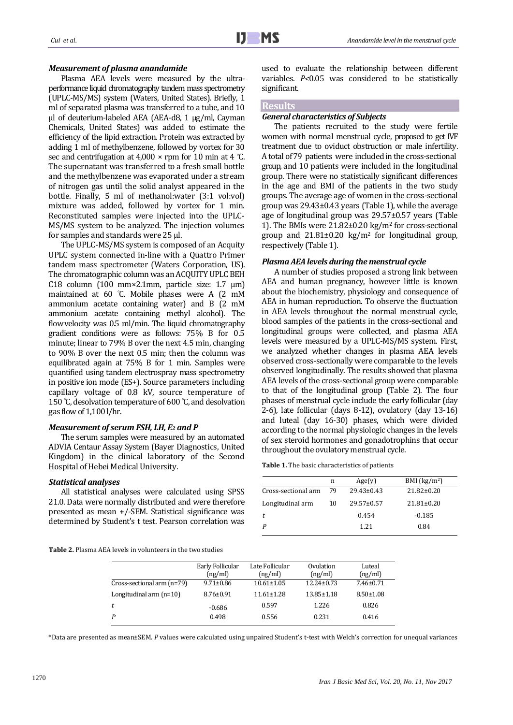## *Measurement of plasma anandamide*

Plasma AEA levels were measured by the ultraperformance liquid chromatography tandem mass spectrometry (UPLC-MS/MS) system (Waters, United States). Briefly, 1 ml of separated plasma was transferred to a tube, and 10 µl of deuterium-labeled AEA (AEA-d8, 1 µg/ml, Cayman Chemicals, United States) was added to estimate the efficiency of the lipid extraction. Protein was extracted by adding 1 ml of methylbenzene, followed by vortex for 30 sec and centrifugation at  $4,000 \times$  rpm for 10 min at 4 °C. The supernatant was transferred to a fresh small bottle and the methylbenzene was evaporated under a stream of nitrogen gas until the solid analyst appeared in the bottle. Finally, 5 ml of methanol:water (3:1 vol:vol) mixture was added, followed by vortex for 1 min. Reconstituted samples were injected into the UPLC-MS/MS system to be analyzed. The injection volumes for samples and standards were 25 μl.

j

The UPLC-MS/MS system is composed of an Acquity UPLC system connected in-line with a Quattro Primer tandem mass spectrometer (Waters Corporation, US). The chromatographic column was an ACQUITY UPLC BEH C18 column (100 mm $\times$ 2.1mm, particle size: 1.7  $\mu$ m) maintained at 60 °C. Mobile phases were A (2 mM ammonium acetate containing water) and B (2 mM ammonium acetate containing methyl alcohol). The [flowvelocity](javascript:void(0);) was 0.5 ml/min. The liquid chromatography gradient conditions were as follows: 75% B for 0.5 minute; linear to 79% B over the next 4.5 min, changing to 90% B over the next 0.5 min; then the column was equilibrated again at 75% B for 1 min. Samples were quantified using tandem electrospray mass spectrometry in positive ion mode (ES+). Source parameters including capillary voltage of 0.8 kV, source temperature of 150 °C, desolvation temperature of 600 °C, and desolvation gas flow of 1,100 l/hr.

#### *Measurement of serum FSH, LH, E<sup>2</sup> and P*

The serum samples were measured by an automated ADVIA Centaur Assay System (Bayer Diagnostics, United Kingdom) in the clinical laboratory of the Second Hospital of Hebei Medical University.

#### *Statistical analyses*

All statistical analyses were calculated using SPSS 21.0. Data were normally distributed and were therefore presented as mean +/-SEM. Statistical significance was determined by Student's t test. Pearson correlation was

**Table 2.** Plasma AEA levels in volunteers in the two studies

used to evaluate the relationship between different variables. *P<*0.05 was considered to be statistically significant.

# **Results**

## *General characteristics of Subjects*

The patients recruited to the study were fertile women with normal menstrual cycle, proposed to get IVF treatment due to oviduct obstruction or male infertility. A total of 79 patients were included in the cross-sectional group, and 10 patients were included in the longitudinal group. There were no statistically significant differences in the age and BMI of the patients in the two study groups. The average age of women in the cross-sectional group was 29.43±0.43 years (Table 1), while the average age of longitudinal group was 29.57±0.57 years (Table 1). The BMIs were 21.82±0.20 kg/m<sup>2</sup> for cross-sectional group and  $21.81 \pm 0.20$  kg/m<sup>2</sup> for longitudinal group, respectively (Table 1).

## *Plasma AEA levels during the menstrual cycle*

A number of studies proposed a strong link between AEA and human pregnancy, however little is known about the biochemistry, physiology and consequence of AEA in human reproduction. To observe the fluctuation in AEA levels throughout the normal menstrual cycle, blood samples of the patients in the cross-sectional and longitudinal groups were collected, and plasma AEA levels were measured by a UPLC-MS/MS system. First, we analyzed whether changes in plasma AEA levels observed cross-sectionally were comparable to the levels observed longitudinally. The results showed that plasma AEA levels of the cross-sectional group were comparable to that of the longitudinal group (Table 2). The four phases of menstrual cycle include the early follicular (day 2-6), late follicular (days 8-12), ovulatory (day 13-16) and luteal (day 16-30) phases, which were divided according to the normal physiologic changes in the levels of sex steroid hormones and gonadotrophins that occur throughout the ovulatory menstrual cycle.

**Table 1.** The basic characteristics of patients

|                     | n  | Age(y)           | BMI $(kg/m2)$    |
|---------------------|----|------------------|------------------|
| Cross-sectional arm | 79 | $29.43 \pm 0.43$ | $21.82 \pm 0.20$ |
| Longitudinal arm    | 10 | $29.57 \pm 0.57$ | $21.81 \pm 0.20$ |
| t.                  |    | 0.454            | $-0.185$         |
|                     |    | 1.21             | 0.84             |
|                     |    |                  |                  |

| Early Follicular | Late Follicular  | Ovulation        | Luteal          |
|------------------|------------------|------------------|-----------------|
| (ng/ml)          | (ng/ml)          | (ng/ml)          | (ng/ml)         |
| $9.71 \pm 0.86$  | $10.61 \pm 1.05$ | $12.24 \pm 0.73$ | $7.46 \pm 0.71$ |
| $8.76 \pm 0.91$  | $11.61 \pm 1.28$ | $13.85 \pm 1.18$ | $8.50 \pm 1.08$ |
| $-0.686$         | 0.597            | 1.226            | 0.826           |
| 0.498            | 0.556            | 0.231            | 0.416           |
|                  |                  |                  |                 |

\*Data are presented as mean±SEM. *P* values were calculated using unpaired Student's t-test with Welch's correction for unequal variances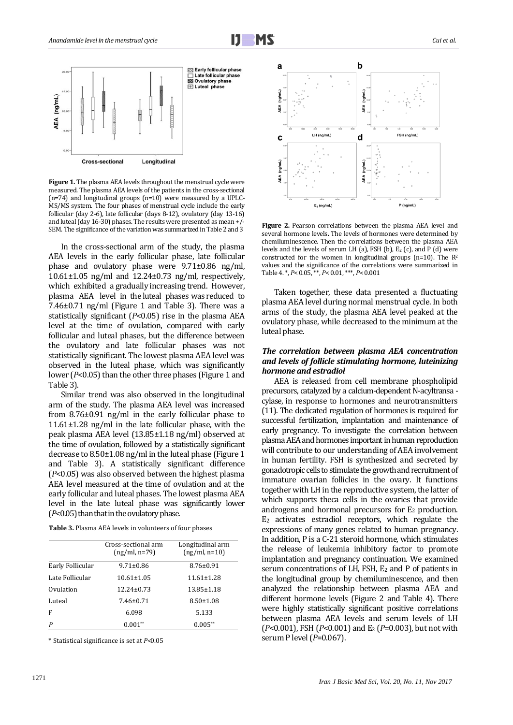



**[Figure 1.](http://www.sciencedirect.com/science/article/pii/S0015028208047390#fig1)** The plasma AEA levels throughout the menstrual cycle were measured. The plasma AEA levels of the patients in the cross-sectional (n=74) and longitudinal groups (n=10) were measured by a UPLC-MS/MS system. The four phases of menstrual cycle include the early follicular (day 2-6), late follicular (days 8-12), ovulatory (day 13-16) and luteal (day 16-30) phases. The results were presented as mean +/- SEM. The significance of the variation was summarized in Table 2 and 3

In the cross-sectional arm of the study, the plasma AEA levels in the early follicular phase, late follicular phase and ovulatory phase were 9.71±0.86 ng/ml,  $10.61\pm1.05$  ng/ml and  $12.24\pm0.73$  ng/ml, respectively, which exhibited a gradually increasing trend. However, plasma AEA level in the luteal phases was reduced to 7.46±0.71 ng/ml (Figure 1 and Table 3). There was a statistically significant (*P*<0.05) rise in the plasma AEA level at the time of ovulation, compared with early follicular and luteal phases, but the difference between the ovulatory and late follicular phases was not statistically significant. The lowest plasma AEA level was observed in the luteal phase, which was significantly lower ( $P$ <0.05) than the other three phases (Figure 1 and Table 3).

Similar trend was also observed in the longitudinal arm of the study. The plasma AEA level was increased from 8.76±0.91 ng/ml in the early follicular phase to 11.61±1.28 ng/ml in the late follicular phase, with the peak plasma AEA level (13.85±1.18 ng/ml) observed at the time of ovulation, followed by a statistically significant decrease to 8.50±1.08 ng/ml in the luteal phase (Figure 1 and Table 3). A statistically significant difference (*P*<0.05) was also observed between the highest plasma AEA level measured at the time of ovulation and at the early follicular and luteal phases. The lowest plasma AEA level in the late luteal phase was significantly lower (*P*<0.05) than that in the ovulatoryphase.

| Table 3. Plasma AEA levels in volunteers of four phases |  |  |
|---------------------------------------------------------|--|--|
|---------------------------------------------------------|--|--|

|                  | Cross-sectional arm<br>$(ng/ml, n=79)$ | Longitudinal arm<br>$(ng/ml, n=10)$ |
|------------------|----------------------------------------|-------------------------------------|
| Early Follicular | $9.71 \pm 0.86$                        | $8.76 \pm 0.91$                     |
| Late Follicular  | $10.61 \pm 1.05$                       | $11.61 \pm 1.28$                    |
| Ovulation        | $12.24 \pm 0.73$                       | $13.85 \pm 1.18$                    |
| Luteal           | $7.46 \pm 0.71$                        | $8.50 \pm 1.08$                     |
| F                | 6.098                                  | 5.133                               |
| P                | $0.001**$                              | $0.005**$                           |

\* Statistical significance is set at *P*<0.05



**[Figure](http://www.sciencedirect.com/science/article/pii/S0015028208047390#fig1) 2.** Pearson correlations between the plasma AEA level and several hormone levels**.** The levels of hormones were determined by chemiluminescence. Then the correlations between the plasma AEA levels and the levels of serum LH (a), FSH (b),  $E_2$  (c), and P (d) were constructed for the women in longitudinal groups (n=10). The R<sup>2</sup> values and the significance of the correlations were summarized in [Table 4.](http://www.sciencedirect.com/science/article/pii/S0015028208047390#tbl3) \*, *P*<0.05, \*\*, *P*<0.01, \*\*\*, *P*<0.001

Taken together, these data presented a fluctuating plasma AEA level during normal menstrual cycle. In both arms of the study, the plasma AEA level peaked at the ovulatory phase, while decreased to the minimum at the luteal phase.

#### *The correlation between plasma AEA concentration and levels of follicle stimulating hormone, luteinizing hormone and estradiol*

AEA is released from cell membrane phospholipid precursors, catalyzed by a calcium-dependent N-acyltransa cylase, in response to hormones and neurotransmitters (11). The dedicated regulation of hormones is required for successful fertilization, implantation and maintenance of early pregnancy. To investigate the correlation between plasma AEA and hormones important in human reproduction will contribute to our understanding of AEA involvement in human fertility. FSH is synthesized and secreted by gonadotropic cells to stimulate the growth and recruitment of immature ovarian follicles in the ovary. It functions together with LH in the reproductive system, the latter of which supports theca cells in the ovaries that provide androgens and hormonal precursors for  $E_2$  production. E<sup>2</sup> activates estradiol receptors, which regulate the expressions of many genes related to human pregnancy. In addition, P is a C-21 steroid hormone, which stimulates the release of leukemia inhibitory factor to promote implantation and pregnancy continuation. We examined serum concentrations of LH, FSH, E<sup>2</sup> and P of patients in the longitudinal group by chemiluminescence, and then analyzed the relationship between plasma AEA and different hormone levels (Figure 2 and Table 4). There were highly statistically significant positive correlations between plasma AEA levels and serum levels of LH (*P*<0.001), FSH (*P*<0.001) and E<sup>2</sup> (*P*=0.003), but not with serum P level (*P*=0.067).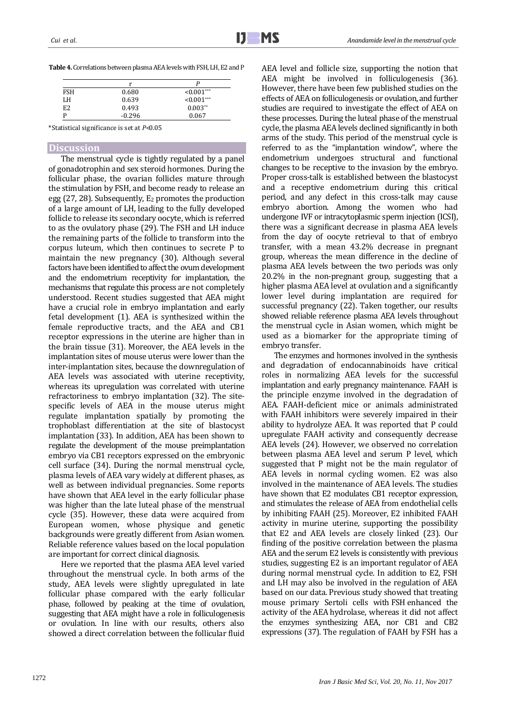| <b>Table 4.</b> Correlations between plasma AEA levels with FSH, LH, E2 and P |
|-------------------------------------------------------------------------------|
|                                                                               |

j

|                | r        |               |
|----------------|----------|---------------|
| <b>FSH</b>     | 0.680    | $< 0.001$ *** |
| LH             | 0.639    | $< 0.001$ *** |
| E <sub>2</sub> | 0.493    | $0.003**$     |
| D              | $-0.296$ | 0.067         |

\*Statistical significance is set at *P*<0.05

## **Discussion**

The menstrual cycle is tightly regulated by a panel of gonadotrophin and sex steroid hormones. During the follicular phase, the ovarian follicles mature through the stimulation by FSH, and become ready to release an egg (27, 28). Subsequently, E<sup>2</sup> promotes the production of a large amount of LH, leading to the fully developed follicle to release its secondary oocyte, which is referred to as the ovulatory phase (29). The FSH and LH induce the remaining parts of the follicle to transform into the corpus luteum, which then continues to secrete P to maintain the new pregnancy (30). Although several factors have been identified to affect the ovum development and the endometrium receptivity for implantation, the mechanisms that regulate this process are not completely understood. Recent studies suggested that AEA might have a crucial role in embryo implantation and early fetal development (1). AEA is synthesized within the female reproductive tracts, and the AEA and CB1 receptor expressions in the uterine are higher than in the brain tissue (31). Moreover, the AEA levels in the implantation sites of mouse uterus were lower than the inter-implantation sites, because the downregulation of AEA levels was associated with uterine receptivity, whereas its upregulation was correlated with uterine refractoriness to embryo implantation (32). The sitespecific levels of AEA in the mouse uterus might regulate implantation spatially by promoting the trophoblast differentiation at the site of blastocyst implantation (33). In addition, AEA has been shown to regulate the development of the mouse preimplantation embryo via CB1 receptors expressed on the embryonic cell surface (34). During the normal menstrual cycle, plasma levels of AEA vary widely at different phases, as well as between individual pregnancies. Some reports have shown that AEA level in the early follicular phase was higher than the late luteal phase of the menstrual cycle (35). However, these data were acquired from European women, whose physique and genetic backgrounds were greatly different from Asian women. Reliable reference values based on the local population are important for correct clinical diagnosis.

Here we reported that the plasma AEA level varied throughout the menstrual cycle. In both arms of the study, AEA levels were slightly upregulated in late follicular phase compared with the early follicular phase, followed by peaking at the time of ovulation, suggesting that AEA might have a role in folliculogenesis or ovulation. In line with our results, others also showed a direct correlation between the follicular fluid AEA level and follicle size, supporting the notion that AEA might be involved in folliculogenesis (36). However, there have been few published studies on the effects of AEA on folliculogenesis or ovulation, and further studies are required to investigate the effect of AEA on these processes. During the luteal phase of the menstrual cycle, the plasma AEA levels declined significantly in both arms of the study. This period of the menstrual cycle is referred to as the "implantation window", where the endometrium undergoes structural and functional changes to be receptive to the invasion by the embryo. Proper cross-talk is established between the blastocyst and a receptive endometrium during this critical period, and any defect in this cross-talk may cause embryo abortion. Among the women who had undergone IVF or intracytoplasmic sperm injection (ICSI), there was a significant decrease in plasma AEA levels from the day of oocyte retrieval to that of embryo transfer, with a mean 43.2% decrease in pregnant group, whereas the mean difference in the decline of plasma AEA levels between the two periods was only 20.2% in the non-pregnant group, suggesting that a higher plasma AEA level at ovulation and a significantly lower level during implantation are required for successful pregnancy (22). Taken together, our results showed reliable reference plasma AEA levels throughout the menstrual cycle in Asian women, which might be used as a biomarker for the appropriate timing of embryo transfer.

The enzymes and hormones involved in the synthesis and degradation of endocannabinoids have critical roles in normalizing AEA levels for the successful implantation and early pregnancy maintenance. FAAH is the principle enzyme involved in the degradation of AEA. FAAH-deficient mice or animals administrated with FAAH inhibitors were severely impaired in their ability to hydrolyze AEA. It was reported that P could upregulate FAAH activity and consequently decrease AEA levels (24). However, we observed no correlation between plasma AEA level and serum P level, which suggested that P might not be the main regulator of AEA levels in normal cycling women. E2 was also involved in the maintenance of AEA levels. The studies have shown that E2 modulates CB1 receptor expression, and stimulates the release of AEA from endothelial cells by inhibiting FAAH (25). Moreover, E2 inhibited FAAH activity in murine uterine, supporting the possibility that E2 and AEA levels are closely linked (23). Our finding of the positive correlation between the plasma AEA and the serum E2 levels is consistently with previous studies, suggesting E2 is an important regulator of AEA during normal menstrual cycle. In addition to E2, FSH and LH may also be involved in the regulation of AEA based on our data. Previous study showed that treating mouse primary Sertoli cells with FSH enhanced the activity of the AEA hydrolase, whereas it did not affect the enzymes synthesizing AEA, nor CB1 and CB2 expressions (37). The regulation of FAAH by FSH has a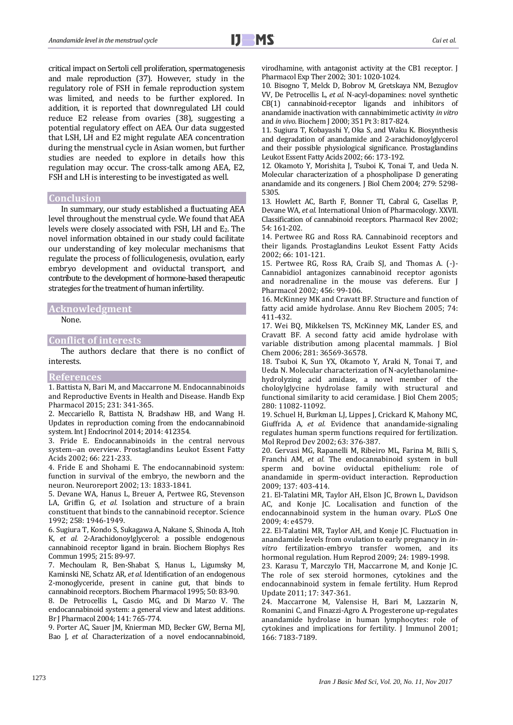critical impact on Sertoli cell proliferation, spermatogenesis and male reproduction (37). However, study in the regulatory role of FSH in female reproduction system was limited, and needs to be further explored. In addition, it is reported that downregulated LH could reduce E2 release from ovaries (38), suggesting a potential regulatory effect on AEA. Our data suggested that LSH, LH and E2 might regulate AEA concentration during the menstrual cycle in Asian women, but further studies are needed to explore in details how this regulation may occur. The cross-talk among AEA, E2, FSH and LH is interesting to be investigated as well.

#### **Conclusion**

In summary, our study established a fluctuating AEA level throughout the menstrual cycle. We found that AEA levels were closely associated with FSH, LH and E2. The novel information obtained in our study could facilitate our understanding of key molecular mechanisms that regulate the process of folliculogenesis, ovulation, early embryo development and oviductal transport, and contribute to the development of hormone-based therapeutic strategies for the treatment of human infertility.

## **Acknowledgment**

None.

#### **Conflict of interests**

The authors declare that there is no conflict of interests.

# **References**

1. Battista N, Bari M, and Maccarrone M. Endocannabinoids and Reproductive Events in Health and Disease. Handb Exp Pharmacol 2015; 231: 341-365.

2. Meccariello R, Battista N, Bradshaw HB, and Wang H. Updates in reproduction coming from the endocannabinoid system. Int J Endocrinol 2014; 2014: 412354.

3. Fride E. Endocannabinoids in the central nervous system--an overview. Prostaglandins Leukot Essent Fatty Acids 2002; 66: 221-233.

4. Fride E and Shohami E. The endocannabinoid system: function in survival of the embryo, the newborn and the neuron. Neuroreport 2002; 13: 1833-1841.

5. Devane WA, Hanus L, Breuer A, Pertwee RG, Stevenson LA, Griffin G*, et al.* Isolation and structure of a brain constituent that binds to the cannabinoid receptor. Science 1992; 258: 1946-1949.

6. Sugiura T, Kondo S, Sukagawa A, Nakane S, Shinoda A, Itoh K*, et al.* 2-Arachidonoylglycerol: a possible endogenous cannabinoid receptor ligand in brain. Biochem Biophys Res Commun 1995; 215: 89-97.

7. Mechoulam R, Ben-Shabat S, Hanus L, Ligumsky M, Kaminski NE, Schatz AR*, et al.* Identification of an endogenous 2-monoglyceride, present in canine gut, that binds to cannabinoid receptors. Biochem Pharmacol 1995; 50: 83-90.

8. De Petrocellis L, Cascio MG, and Di Marzo V. The endocannabinoid system: a general view and latest additions. Br J Pharmacol 2004; 141: 765-774.

9. Porter AC, Sauer JM, Knierman MD, Becker GW, Berna MJ, Bao J*, et al.* Characterization of a novel endocannabinoid, virodhamine, with antagonist activity at the CB1 receptor. J Pharmacol Exp Ther 2002; 301: 1020-1024.

10. Bisogno T, Melck D, Bobrov M, Gretskaya NM, Bezuglov VV, De Petrocellis L*, et al.* N-acyl-dopamines: novel synthetic CB(1) cannabinoid-receptor ligands and inhibitors of anandamide inactivation with cannabimimetic activity *in vitro* and *in vivo*. Biochem J 2000; 351 Pt 3: 817-824.

11. Sugiura T, Kobayashi Y, Oka S, and Waku K. Biosynthesis and degradation of anandamide and 2-arachidonoylglycerol and their possible physiological significance. Prostaglandins Leukot Essent Fatty Acids 2002; 66: 173-192.

12. Okamoto Y, Morishita J, Tsuboi K, Tonai T, and Ueda N. Molecular characterization of a phospholipase D generating anandamide and its congeners. J Biol Chem 2004; 279: 5298- 5305.

13. Howlett AC, Barth F, Bonner TI, Cabral G, Casellas P, Devane WA*, et al.* International Union of Pharmacology. XXVII. Classification of cannabinoid receptors. Pharmacol Rev 2002; 54: 161-202.

14. Pertwee RG and Ross RA. Cannabinoid receptors and their ligands. Prostaglandins Leukot Essent Fatty Acids 2002; 66: 101-121.

15. Pertwee RG, Ross RA, Craib SJ, and Thomas A. (-)- Cannabidiol antagonizes cannabinoid receptor agonists and noradrenaline in the mouse vas deferens. Eur J Pharmacol 2002; 456: 99-106.

16. McKinney MK and Cravatt BF. Structure and function of fatty acid amide hydrolase. Annu Rev Biochem 2005; 74: 411-432.

17. Wei BQ, Mikkelsen TS, McKinney MK, Lander ES, and Cravatt BF. A second fatty acid amide hydrolase with variable distribution among placental mammals. J Biol Chem 2006; 281: 36569-36578.

18. Tsuboi K, Sun YX, Okamoto Y, Araki N, Tonai T, and Ueda N. Molecular characterization of N-acylethanolaminehydrolyzing acid amidase, a novel member of the choloylglycine hydrolase family with structural and functional similarity to acid ceramidase. J Biol Chem 2005; 280: 11082-11092.

19. Schuel H, Burkman LJ, Lippes J, Crickard K, Mahony MC, Giuffrida A*, et al.* Evidence that anandamide-signaling regulates human sperm functions required for fertilization. Mol Reprod Dev 2002; 63: 376-387.

20. Gervasi MG, Rapanelli M, Ribeiro ML, Farina M, Billi S, Franchi AM*, et al.* The endocannabinoid system in bull sperm and bovine oviductal epithelium: role of anandamide in sperm-oviduct interaction. Reproduction 2009; 137: 403-414.

21. El-Talatini MR, Taylor AH, Elson JC, Brown L, Davidson AC, and Konje JC. Localisation and function of the endocannabinoid system in the human ovary. PLoS One 2009; 4: e4579.

22. El-Talatini MR, Taylor AH, and Konje JC. Fluctuation in anandamide levels from ovulation to early pregnancy in *invitro* fertilization-embryo transfer women, and its hormonal regulation. Hum Reprod 2009; 24: 1989-1998.

23. Karasu T, Marczylo TH, Maccarrone M, and Konje JC. The role of sex steroid hormones, cytokines and the endocannabinoid system in female fertility. Hum Reprod Update 2011; 17: 347-361.

24. Maccarrone M, Valensise H, Bari M, Lazzarin N, Romanini C, and Finazzi-Agro A. Progesterone up-regulates anandamide hydrolase in human lymphocytes: role of cytokines and implications for fertility. J Immunol 2001; 166: 7183-7189.